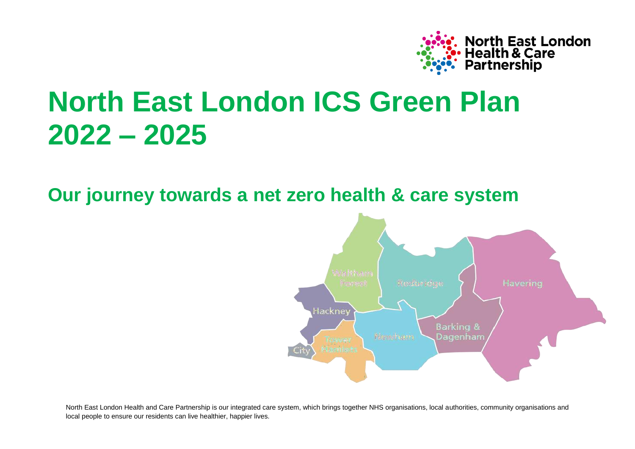

# **North East London ICS Green Plan 2022 – 2025**

**Our journey towards a net zero health & care system**

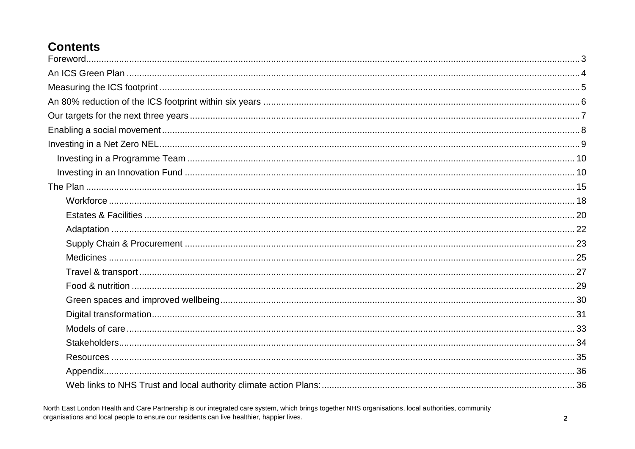# **Contents**

| Foreword. 3 |  |
|-------------|--|
|             |  |
|             |  |
|             |  |
|             |  |
|             |  |
|             |  |
|             |  |
|             |  |
|             |  |
|             |  |
|             |  |
|             |  |
|             |  |
|             |  |
|             |  |
|             |  |
|             |  |
|             |  |
|             |  |
|             |  |
|             |  |
|             |  |
|             |  |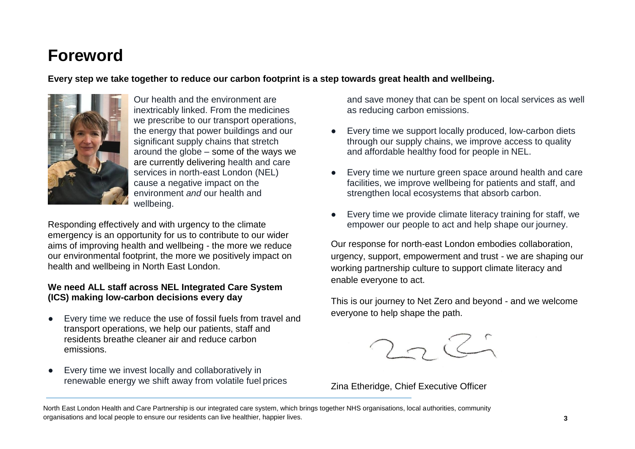# <span id="page-2-0"></span>**Foreword**

**Every step we take together to reduce our carbon footprint is a step towards great health and wellbeing.**



Our health and the environment are inextricably linked. From the medicines we prescribe to our transport operations, the energy that power buildings and our significant supply chains that stretch around the globe – some of the ways we are currently delivering health and care services in north-east London (NEL) cause a negative impact on the environment *and* our health and wellbeing.

Responding effectively and with urgency to the climate emergency is an opportunity for us to contribute to our wider aims of improving health and wellbeing - the more we reduce our environmental footprint, the more we positively impact on health and wellbeing in North East London.

#### **We need ALL staff across NEL Integrated Care System (ICS) making low-carbon decisions every day**

- Every time we reduce the use of fossil fuels from travel and transport operations, we help our patients, staff and residents breathe cleaner air and reduce carbon emissions.
- Every time we invest locally and collaboratively in renewable energy we shift away from volatile fuel prices

and save money that can be spent on local services as well as reducing carbon emissions.

- Every time we support locally produced, low-carbon diets through our supply chains, we improve access to quality and affordable healthy food for people in NEL.
- Every time we nurture green space around health and care facilities, we improve wellbeing for patients and staff, and strengthen local ecosystems that absorb carbon.
- Every time we provide climate literacy training for staff, we empower our people to act and help shape our journey.

Our response for north-east London embodies collaboration, urgency, support, empowerment and trust - we are shaping our working partnership culture to support climate literacy and enable everyone to act.

This is our journey to Net Zero and beyond - and we welcome everyone to help shape the path.



Zina Etheridge, Chief Executive Officer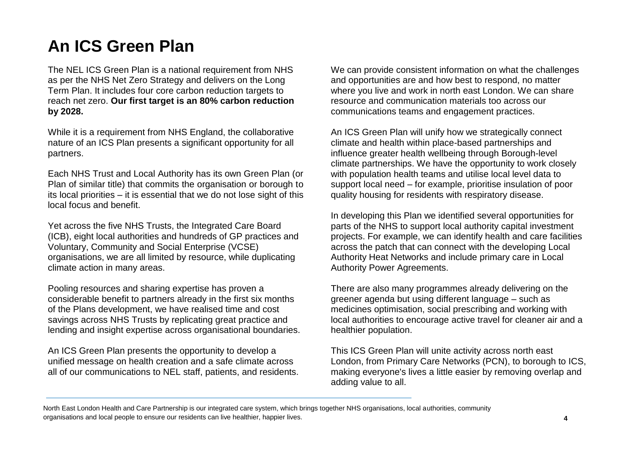# <span id="page-3-0"></span>**An ICS Green Plan**

The NEL ICS Green Plan is a national requirement from NHS as per the NHS Net Zero Strategy and delivers on the Long Term Plan. It includes four core carbon reduction targets to reach net zero. **Our first target is an 80% carbon reduction by 2028.**

While it is a requirement from NHS England, the collaborative nature of an ICS Plan presents a significant opportunity for all partners.

Each NHS Trust and Local Authority has its own Green Plan (or Plan of similar title) that commits the organisation or borough to its local priorities – it is essential that we do not lose sight of this local focus and benefit.

Yet across the five NHS Trusts, the Integrated Care Board (ICB), eight local authorities and hundreds of GP practices and Voluntary, Community and Social Enterprise (VCSE) organisations, we are all limited by resource, while duplicating climate action in many areas.

Pooling resources and sharing expertise has proven a considerable benefit to partners already in the first six months of the Plans development, we have realised time and cost savings across NHS Trusts by replicating great practice and lending and insight expertise across organisational boundaries.

An ICS Green Plan presents the opportunity to develop a unified message on health creation and a safe climate across all of our communications to NEL staff, patients, and residents. We can provide consistent information on what the challenges and opportunities are and how best to respond, no matter where you live and work in north east London. We can share resource and communication materials too across our communications teams and engagement practices.

An ICS Green Plan will unify how we strategically connect climate and health within place-based partnerships and influence greater health wellbeing through Borough-level climate partnerships. We have the opportunity to work closely with population health teams and utilise local level data to support local need – for example, prioritise insulation of poor quality housing for residents with respiratory disease.

In developing this Plan we identified several opportunities for parts of the NHS to support local authority capital investment projects. For example, we can identify health and care facilities across the patch that can connect with the developing Local Authority Heat Networks and include primary care in Local Authority Power Agreements.

There are also many programmes already delivering on the greener agenda but using different language – such as medicines optimisation, social prescribing and working with local authorities to encourage active travel for cleaner air and a healthier population.

This ICS Green Plan will unite activity across north east London, from Primary Care Networks (PCN), to borough to ICS, making everyone's lives a little easier by removing overlap and adding value to all.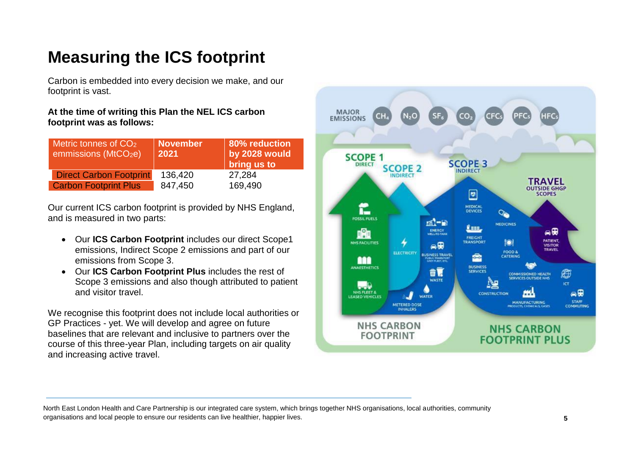# <span id="page-4-0"></span>**Measuring the ICS footprint**

Carbon is embedded into every decision we make, and our footprint is vast.

#### **At the time of writing this Plan the NEL ICS carbon footprint was as follows:**

| Metric tonnes of CO <sub>2</sub><br>emmissions (MtCO <sub>2</sub> e) | November<br>2021 | 80% reduction<br>by 2028 would<br>bring us to |
|----------------------------------------------------------------------|------------------|-----------------------------------------------|
| <b>Direct Carbon Footprint</b>                                       | 136,420          | 27,284                                        |
| <b>Carbon Footprint Plus</b>                                         | 847,450          | 169,490                                       |

Our current ICS carbon footprint is provided by NHS England, and is measured in two parts:

- Our **ICS Carbon Footprint** includes our direct Scope1 emissions, Indirect Scope 2 emissions and part of our emissions from Scope 3.
- Our **ICS Carbon Footprint Plus** includes the rest of Scope 3 emissions and also though attributed to patient and visitor travel.

We recognise this footprint does not include local authorities or GP Practices - yet. We will develop and agree on future baselines that are relevant and inclusive to partners over the course of this three-year Plan, including targets on air quality and increasing active travel.

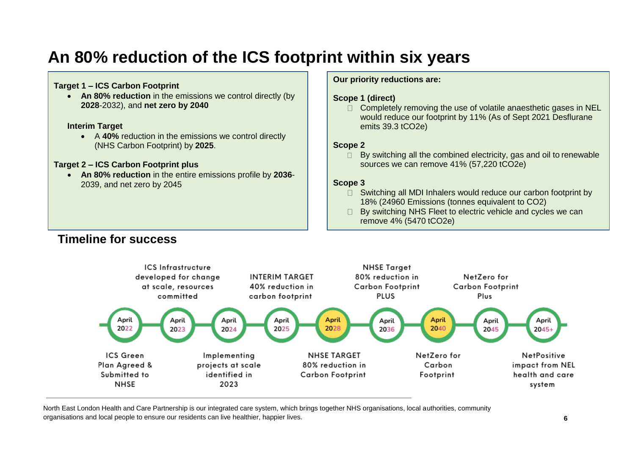# <span id="page-5-0"></span>**An 80% reduction of the ICS footprint within six years**

#### **Target 1 – ICS Carbon Footprint**

**An 80% reduction** in the emissions we control directly (by **2028**-2032), and **net zero by 2040**

#### **Interim Target**

 A **40%** reduction in the emissions we control directly (NHS Carbon Footprint) by **2025**.

#### **Target 2 – ICS Carbon Footprint plus**

 **An 80% reduction** in the entire emissions profile by **2036**- 2039, and net zero by 2045

#### **Our priority reductions are:**

#### **Scope 1 (direct)**

 $\Box$  Completely removing the use of volatile anaesthetic gases in NEL would reduce our footprint by 11% (As of Sept 2021 Desflurane emits 39.3 tCO2e)

#### **Scope 2**

By switching all the combined electricity, gas and oil to renewable  $\Box$ sources we can remove 41% (57,220 tCO2e)

#### **Scope 3**

- Switching all MDI Inhalers would reduce our carbon footprint by  $\Box$ 18% (24960 Emissions (tonnes equivalent to CO2)
- $\Box$  By switching NHS Fleet to electric vehicle and cycles we can remove 4% (5470 tCO2e)



# **Timeline for success**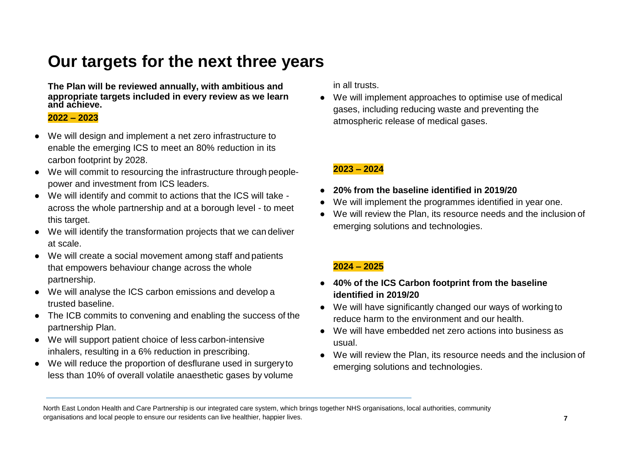# <span id="page-6-0"></span>**Our targets for the next three years**

**The Plan will be reviewed annually, with ambitious and in all trusts. appropriate targets included in every review as we learn and achieve.**

#### **2022 – 2023**

- We will design and implement a net zero infrastructure to enable the emerging ICS to meet an 80% reduction in its carbon footprint by 2028.
- We will commit to resourcing the infrastructure through peoplepower and investment from ICS leaders.
- We will identify and commit to actions that the ICS will take across the whole partnership and at a borough level - to meet this target.
- We will identify the transformation projects that we can deliver at scale.
- We will create a social movement among staff and patients that empowers behaviour change across the whole partnership.
- We will analyse the ICS carbon emissions and develop a trusted baseline.
- The ICB commits to convening and enabling the success of the partnership Plan.
- We will support patient choice of less carbon-intensive inhalers, resulting in a 6% reduction in prescribing.
- We will reduce the proportion of desflurane used in surgeryto less than 10% of overall volatile anaesthetic gases by volume

We will implement approaches to optimise use of medical gases, including reducing waste and preventing the atmospheric release of medical gases.

### **2023 – 2024**

- **20% from the baseline identified in 2019/20**
- We will implement the programmes identified in year one.
- We will review the Plan, its resource needs and the inclusion of emerging solutions and technologies.

### **2024 – 2025**

- **40% of the ICS Carbon footprint from the baseline identified in 2019/20**
- We will have significantly changed our ways of working to reduce harm to the environment and our health.
- We will have embedded net zero actions into business as usual.
- We will review the Plan, its resource needs and the inclusion of emerging solutions and technologies.

North East London Health and Care Partnership is our integrated care system, which brings together NHS organisations, local authorities, community organisations and local people to ensure our residents can live healthier, happier lives. **7**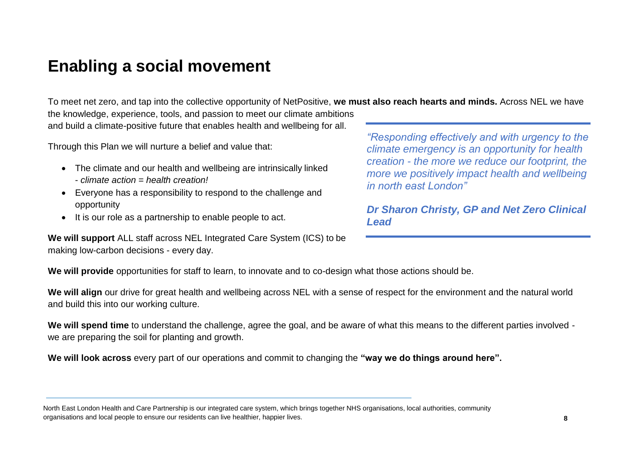# <span id="page-7-0"></span>**Enabling a social movement**

To meet net zero, and tap into the collective opportunity of NetPositive, **we must also reach hearts and minds.** Across NEL we have the knowledge, experience, tools, and passion to meet our climate ambitions and build a climate-positive future that enables health and wellbeing for all.

Through this Plan we will nurture a belief and value that:

- The climate and our health and wellbeing are intrinsically linked - *climate action = health creation!*
- Everyone has a responsibility to respond to the challenge and opportunity
- It is our role as a partnership to enable people to act.

**We will support** ALL staff across NEL Integrated Care System (ICS) to be making low-carbon decisions - every day.

*"Responding effectively and with urgency to the climate emergency is an opportunity for health creation - the more we reduce our footprint, the more we positively impact health and wellbeing in north east London"*

*Dr Sharon Christy, GP and Net Zero Clinical Lead*

**We will provide** opportunities for staff to learn, to innovate and to co-design what those actions should be.

**We will align** our drive for great health and wellbeing across NEL with a sense of respect for the environment and the natural world and build this into our working culture.

We will spend time to understand the challenge, agree the goal, and be aware of what this means to the different parties involved we are preparing the soil for planting and growth.

**We will look across** every part of our operations and commit to changing the **"way we do things around here".**

North East London Health and Care Partnership is our integrated care system, which brings together NHS organisations, local authorities, community organisations and local people to ensure our residents can live healthier, happier lives. **8**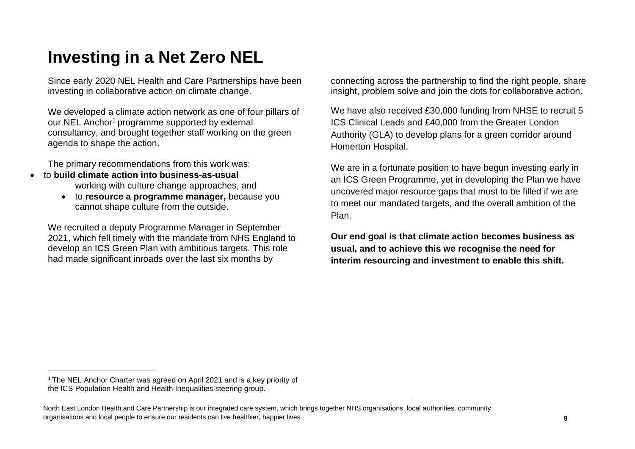# <span id="page-8-0"></span>**Investing in a Net Zero NEL**

Since early 2020 NEL Health and Care Partnerships have been investing in collaborative action on climate change.

We developed a climate action network as one of four pillars of our NEL Anchor<sup>1</sup> programme supported by external consultancy, and brought together staff working on the green agenda to shape the action.

The primary recommendations from this work was:

- to **build climate action into business-as-usual** working with culture change approaches, and
	- to **resource a programme manager,** because you cannot shape culture from the outside.

We recruited a deputy Programme Manager in September 2021, which fell timely with the mandate from NHS England to develop an ICS Green Plan with ambitious targets. This role had made significant inroads over the last six months by

connecting across the partnership to find the right people, share insight, problem solve and join the dots for collaborative action.

We have also received £30,000 funding from NHSE to recruit 5 ICS Clinical Leads and £40,000 from the Greater London Authority (GLA) to develop plans for a green corridor around Homerton Hospital.

We are in a fortunate position to have begun investing early in an ICS Green Programme, yet in developing the Plan we have uncovered major resource gaps that must to be filled if we are to meet our mandated targets, and the overall ambition of the Plan.

**Our end goal is that climate action becomes business as usual, and to achieve this we recognise the need for interim resourcing and investment to enable this shift.**

<sup>&</sup>lt;sup>1</sup> The NEL Anchor Charter was agreed on April 2021 and is a key priority of the ICS Population Health and Health Inequalities steering group.

North East London Health and Care Partnership is our integrated care system, which brings together NHS organisations, local authorities, community organisations and local people to ensure our residents can live healthier, happier lives. **9**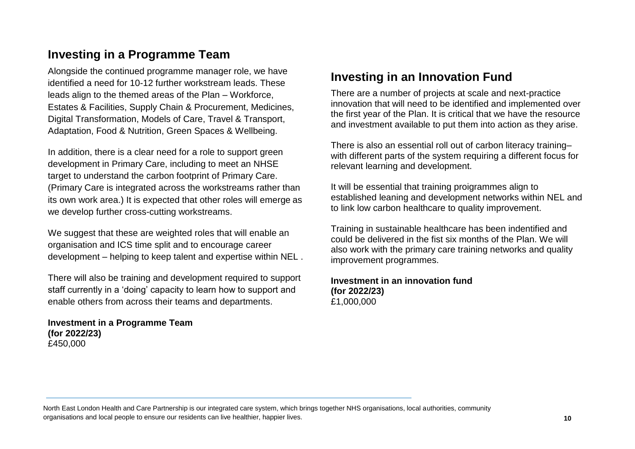# <span id="page-9-0"></span>**Investing in a Programme Team**

Alongside the continued programme manager role, we have identified a need for 10-12 further workstream leads. These leads align to the themed areas of the Plan – Workforce, Estates & Facilities, Supply Chain & Procurement, Medicines, Digital Transformation, Models of Care, Travel & Transport, Adaptation, Food & Nutrition, Green Spaces & Wellbeing.

In addition, there is a clear need for a role to support green development in Primary Care, including to meet an NHSE target to understand the carbon footprint of Primary Care. (Primary Care is integrated across the workstreams rather than its own work area.) It is expected that other roles will emerge as we develop further cross-cutting workstreams.

We suggest that these are weighted roles that will enable an organisation and ICS time split and to encourage career development – helping to keep talent and expertise within NEL .

There will also be training and development required to support staff currently in a 'doing' capacity to learn how to support and enable others from across their teams and departments.

**Investment in a Programme Team (for 2022/23)** £450,000

# <span id="page-9-1"></span>**Investing in an Innovation Fund**

There are a number of projects at scale and next-practice innovation that will need to be identified and implemented over the first year of the Plan. It is critical that we have the resource and investment available to put them into action as they arise.

There is also an essential roll out of carbon literacy training– with different parts of the system requiring a different focus for relevant learning and development.

It will be essential that training proigrammes align to established leaning and development networks within NEL and to link low carbon healthcare to quality improvement.

Training in sustainable healthcare has been indentified and could be delivered in the fist six months of the Plan. We will also work with the primary care training networks and quality improvement programmes.

#### **Investment in an innovation fund (for 2022/23)** £1,000,000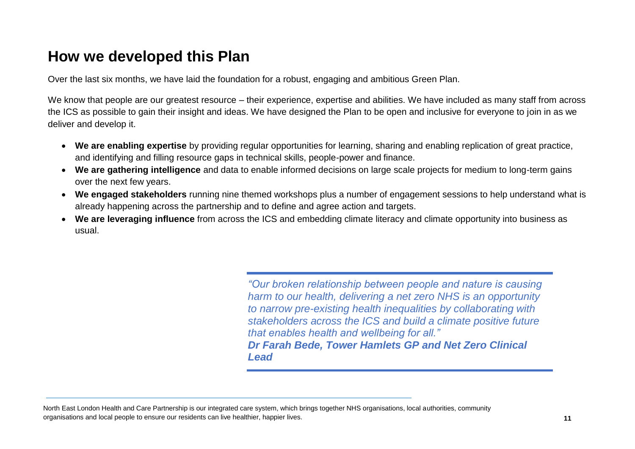# **How we developed this Plan**

Over the last six months, we have laid the foundation for a robust, engaging and ambitious Green Plan.

We know that people are our greatest resource – their experience, expertise and abilities. We have included as many staff from across the ICS as possible to gain their insight and ideas. We have designed the Plan to be open and inclusive for everyone to join in as we deliver and develop it.

- **We are enabling expertise** by providing regular opportunities for learning, sharing and enabling replication of great practice, and identifying and filling resource gaps in technical skills, people-power and finance.
- **We are gathering intelligence** and data to enable informed decisions on large scale projects for medium to long-term gains over the next few years.
- **We engaged stakeholders** running nine themed workshops plus a number of engagement sessions to help understand what is already happening across the partnership and to define and agree action and targets.
- **We are leveraging influence** from across the ICS and embedding climate literacy and climate opportunity into business as usual.

*"Our broken relationship between people and nature is causing harm to our health, delivering a net zero NHS is an opportunity to narrow pre-existing health inequalities by collaborating with stakeholders across the ICS and build a climate positive future that enables health and wellbeing for all." Dr Farah Bede, Tower Hamlets GP and Net Zero Clinical Lead*

North East London Health and Care Partnership is our integrated care system, which brings together NHS organisations, local authorities, community organisations and local people to ensure our residents can live healthier, happier lives. **11**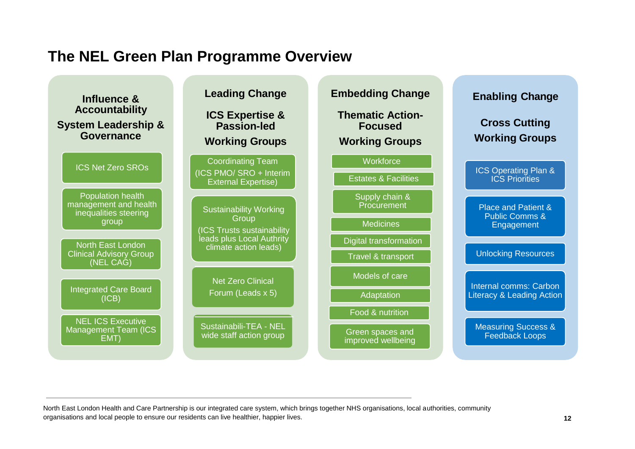# **The NEL Green Plan Programme Overview**

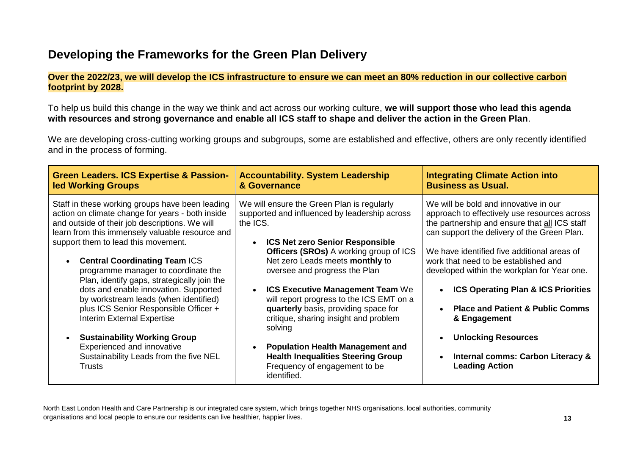# **Developing the Frameworks for the Green Plan Delivery**

#### **Over the 2022/23, we will develop the ICS infrastructure to ensure we can meet an 80% reduction in our collective carbon footprint by 2028.**

To help us build this change in the way we think and act across our working culture, **we will support those who lead this agenda with resources and strong governance and enable all ICS staff to shape and deliver the action in the Green Plan**.

We are developing cross-cutting working groups and subgroups, some are established and effective, others are only recently identified and in the process of forming.

| <b>Green Leaders. ICS Expertise &amp; Passion-</b>                                                                                                                                                                                                                                                                                                                                                                                                                                                                                                                                                                                                                                  | <b>Accountability. System Leadership</b>                                                                                                                                                                                                                                                                                                                                                                                                                                                                                                                                                          | <b>Integrating Climate Action into</b>                                                                                                                                                                                                                                                                                                                                                                                                                                                                                                   |
|-------------------------------------------------------------------------------------------------------------------------------------------------------------------------------------------------------------------------------------------------------------------------------------------------------------------------------------------------------------------------------------------------------------------------------------------------------------------------------------------------------------------------------------------------------------------------------------------------------------------------------------------------------------------------------------|---------------------------------------------------------------------------------------------------------------------------------------------------------------------------------------------------------------------------------------------------------------------------------------------------------------------------------------------------------------------------------------------------------------------------------------------------------------------------------------------------------------------------------------------------------------------------------------------------|------------------------------------------------------------------------------------------------------------------------------------------------------------------------------------------------------------------------------------------------------------------------------------------------------------------------------------------------------------------------------------------------------------------------------------------------------------------------------------------------------------------------------------------|
| <b>led Working Groups</b>                                                                                                                                                                                                                                                                                                                                                                                                                                                                                                                                                                                                                                                           | & Governance                                                                                                                                                                                                                                                                                                                                                                                                                                                                                                                                                                                      | <b>Business as Usual.</b>                                                                                                                                                                                                                                                                                                                                                                                                                                                                                                                |
| Staff in these working groups have been leading<br>action on climate change for years - both inside<br>and outside of their job descriptions. We will<br>learn from this immensely valuable resource and<br>support them to lead this movement.<br><b>Central Coordinating Team ICS</b><br>$\bullet$<br>programme manager to coordinate the<br>Plan, identify gaps, strategically join the<br>dots and enable innovation. Supported<br>by workstream leads (when identified)<br>plus ICS Senior Responsible Officer +<br><b>Interim External Expertise</b><br><b>Sustainability Working Group</b><br>Experienced and innovative<br>Sustainability Leads from the five NEL<br>Trusts | We will ensure the Green Plan is regularly<br>supported and influenced by leadership across<br>the ICS.<br><b>ICS Net zero Senior Responsible</b><br><b>Officers (SROs)</b> A working group of ICS<br>Net zero Leads meets monthly to<br>oversee and progress the Plan<br><b>ICS Executive Management Team We</b><br>will report progress to the ICS EMT on a<br>quarterly basis, providing space for<br>critique, sharing insight and problem<br>solving<br><b>Population Health Management and</b><br><b>Health Inequalities Steering Group</b><br>Frequency of engagement to be<br>identified. | We will be bold and innovative in our<br>approach to effectively use resources across<br>the partnership and ensure that all ICS staff<br>can support the delivery of the Green Plan.<br>We have identified five additional areas of<br>work that need to be established and<br>developed within the workplan for Year one.<br><b>ICS Operating Plan &amp; ICS Priorities</b><br><b>Place and Patient &amp; Public Comms</b><br>& Engagement<br><b>Unlocking Resources</b><br>Internal comms: Carbon Literacy &<br><b>Leading Action</b> |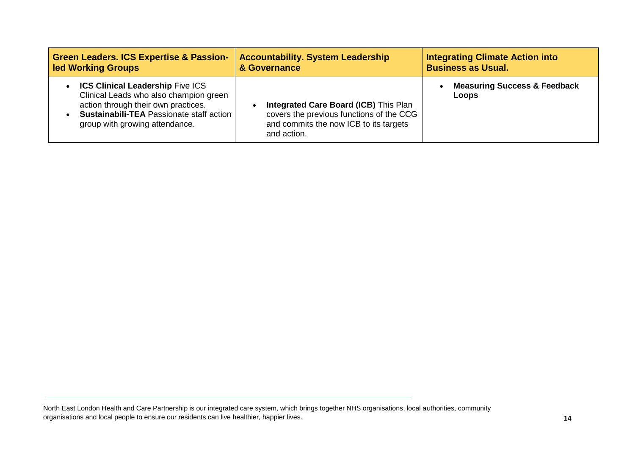| <b>Green Leaders. ICS Expertise &amp; Passion-</b>                                                                                                                                                       | <b>Accountability. System Leadership</b>                                                                                                          | <b>Integrating Climate Action into</b>                  |
|----------------------------------------------------------------------------------------------------------------------------------------------------------------------------------------------------------|---------------------------------------------------------------------------------------------------------------------------------------------------|---------------------------------------------------------|
| <b>Ied Working Groups</b>                                                                                                                                                                                | & Governance                                                                                                                                      | <b>Business as Usual.</b>                               |
| • ICS Clinical Leadership Five ICS<br>Clinical Leads who also champion green<br>action through their own practices.<br><b>Sustainabili-TEA Passionate staff action</b><br>group with growing attendance. | <b>Integrated Care Board (ICB)</b> This Plan<br>covers the previous functions of the CCG<br>and commits the now ICB to its targets<br>and action. | <b>Measuring Success &amp; Feedback</b><br><b>Loops</b> |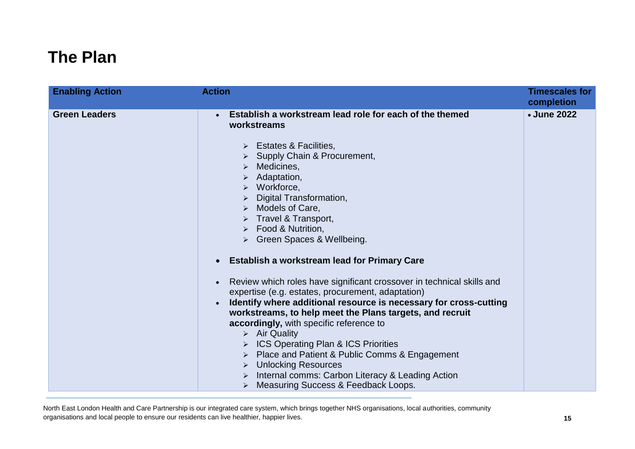# <span id="page-14-0"></span>**The Plan**

| <b>Enabling Action</b> | <b>Action</b>                                                                                                                                                                                                                                                                                                                                                                                                                                                                                                                                                                                                                                                                                                                                                                                                                                                                                                                                                                                                                            | <b>Timescales for</b><br>completion |
|------------------------|------------------------------------------------------------------------------------------------------------------------------------------------------------------------------------------------------------------------------------------------------------------------------------------------------------------------------------------------------------------------------------------------------------------------------------------------------------------------------------------------------------------------------------------------------------------------------------------------------------------------------------------------------------------------------------------------------------------------------------------------------------------------------------------------------------------------------------------------------------------------------------------------------------------------------------------------------------------------------------------------------------------------------------------|-------------------------------------|
| <b>Green Leaders</b>   | Establish a workstream lead role for each of the themed<br>workstreams<br>$\triangleright$ Estates & Facilities,<br>Supply Chain & Procurement,<br>Medicines,<br>$\blacktriangleright$<br>Adaptation,<br>$\triangleright$ Workforce,<br>Digital Transformation,<br>$\triangleright$ Models of Care,<br>Travel & Transport,<br>> Food & Nutrition,<br>> Green Spaces & Wellbeing.<br><b>Establish a workstream lead for Primary Care</b><br>$\bullet$<br>Review which roles have significant crossover in technical skills and<br>expertise (e.g. estates, procurement, adaptation)<br>Identify where additional resource is necessary for cross-cutting<br>workstreams, to help meet the Plans targets, and recruit<br>accordingly, with specific reference to<br>$\triangleright$ Air Quality<br>ICS Operating Plan & ICS Priorities<br>Place and Patient & Public Comms & Engagement<br><b>Unlocking Resources</b><br>$\blacktriangleright$<br>Internal comms: Carbon Literacy & Leading Action<br>Measuring Success & Feedback Loops. | • June 2022                         |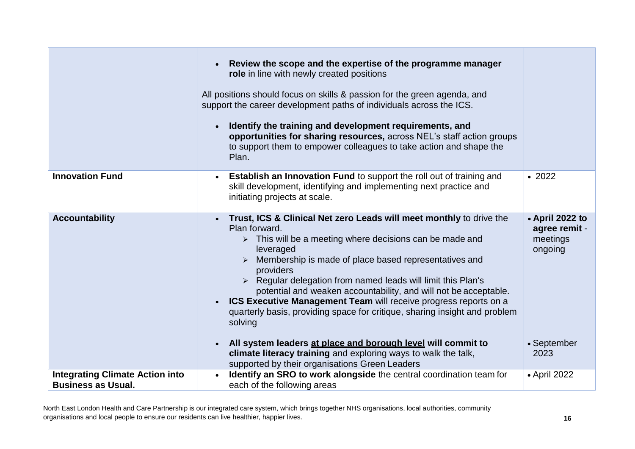|                                                                     | Review the scope and the expertise of the programme manager<br>role in line with newly created positions<br>All positions should focus on skills & passion for the green agenda, and<br>support the career development paths of individuals across the ICS.<br>Identify the training and development requirements, and<br>$\bullet$<br>opportunities for sharing resources, across NEL's staff action groups<br>to support them to empower colleagues to take action and shape the<br>Plan.                                                                                                                         |                                                                        |
|---------------------------------------------------------------------|---------------------------------------------------------------------------------------------------------------------------------------------------------------------------------------------------------------------------------------------------------------------------------------------------------------------------------------------------------------------------------------------------------------------------------------------------------------------------------------------------------------------------------------------------------------------------------------------------------------------|------------------------------------------------------------------------|
| <b>Innovation Fund</b>                                              | <b>Establish an Innovation Fund to support the roll out of training and</b><br>skill development, identifying and implementing next practice and<br>initiating projects at scale.                                                                                                                                                                                                                                                                                                                                                                                                                                   | • 2022                                                                 |
| <b>Accountability</b>                                               | Trust, ICS & Clinical Net zero Leads will meet monthly to drive the<br>Plan forward.<br>$\triangleright$ This will be a meeting where decisions can be made and<br>leveraged<br>Membership is made of place based representatives and<br>providers<br>> Regular delegation from named leads will limit this Plan's<br>potential and weaken accountability, and will not be acceptable.<br>ICS Executive Management Team will receive progress reports on a<br>quarterly basis, providing space for critique, sharing insight and problem<br>solving<br>All system leaders at place and borough level will commit to | • April 2022 to<br>agree remit -<br>meetings<br>ongoing<br>• September |
|                                                                     | climate literacy training and exploring ways to walk the talk,<br>supported by their organisations Green Leaders                                                                                                                                                                                                                                                                                                                                                                                                                                                                                                    | 2023                                                                   |
| <b>Integrating Climate Action into</b><br><b>Business as Usual.</b> | Identify an SRO to work alongside the central coordination team for<br>each of the following areas                                                                                                                                                                                                                                                                                                                                                                                                                                                                                                                  | • April 2022                                                           |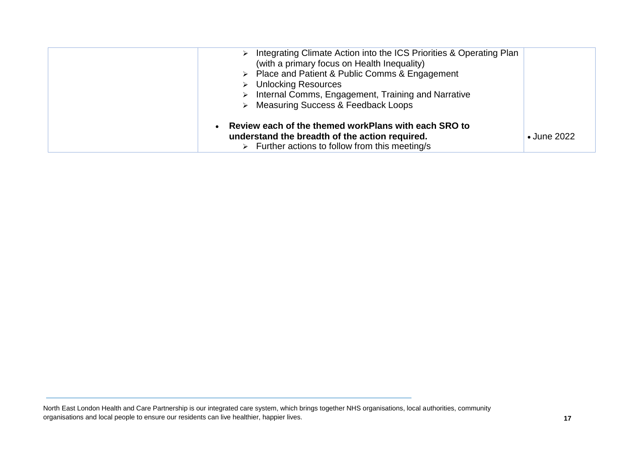| Integrating Climate Action into the ICS Priorities & Operating Plan<br>$\triangleright$<br>(with a primary focus on Health Inequality)<br>$\triangleright$ Place and Patient & Public Comms & Engagement<br><b>Unlocking Resources</b><br>Internal Comms, Engagement, Training and Narrative<br>> Measuring Success & Feedback Loops |                     |
|--------------------------------------------------------------------------------------------------------------------------------------------------------------------------------------------------------------------------------------------------------------------------------------------------------------------------------------|---------------------|
| Review each of the themed workPlans with each SRO to<br>understand the breadth of the action required.<br>$\triangleright$ Further actions to follow from this meeting/s                                                                                                                                                             | $\bullet$ June 2022 |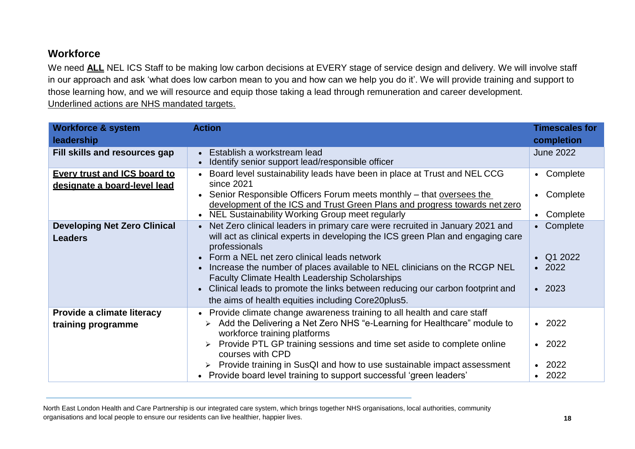### <span id="page-17-0"></span>**Workforce**

We need **ALL** NEL ICS Staff to be making low carbon decisions at EVERY stage of service design and delivery. We will involve staff in our approach and ask 'what does low carbon mean to you and how can we help you do it'. We will provide training and support to those learning how, and we will resource and equip those taking a lead through remuneration and career development. Underlined actions are NHS mandated targets.

| <b>Workforce &amp; system</b><br>leadership                         | <b>Action</b>                                                                                                                                                                                                                                                                                                                                                                                                                                                                                                                | <b>Timescales for</b><br>completion                                     |
|---------------------------------------------------------------------|------------------------------------------------------------------------------------------------------------------------------------------------------------------------------------------------------------------------------------------------------------------------------------------------------------------------------------------------------------------------------------------------------------------------------------------------------------------------------------------------------------------------------|-------------------------------------------------------------------------|
| Fill skills and resources gap                                       | Establish a workstream lead<br>$\bullet$<br>Identify senior support lead/responsible officer                                                                                                                                                                                                                                                                                                                                                                                                                                 | <b>June 2022</b>                                                        |
| <b>Every trust and ICS board to</b><br>designate a board-level lead | Board level sustainability leads have been in place at Trust and NELCCG<br>$\bullet$<br>since 2021<br>Senior Responsible Officers Forum meets monthly – that oversees the<br>development of the ICS and Trust Green Plans and progress towards net zero<br>NEL Sustainability Working Group meet regularly<br>$\bullet$                                                                                                                                                                                                      | Complete<br>$\bullet$<br>Complete<br>$\bullet$<br>Complete<br>$\bullet$ |
| <b>Developing Net Zero Clinical</b><br><b>Leaders</b>               | Net Zero clinical leaders in primary care were recruited in January 2021 and<br>$\bullet$<br>will act as clinical experts in developing the ICS green Plan and engaging care<br>professionals<br>• Form a NEL net zero clinical leads network<br>Increase the number of places available to NEL clinicians on the RCGP NEL<br><b>Faculty Climate Health Leadership Scholarships</b><br>• Clinical leads to promote the links between reducing our carbon footprint and<br>the aims of health equities including Core20plus5. | Complete<br>$\bullet$<br>Q1 2022<br>2022<br>2023<br>$\bullet$           |
| Provide a climate literacy<br>training programme                    | Provide climate change awareness training to all health and care staff<br>$\bullet$<br>Add the Delivering a Net Zero NHS "e-Learning for Healthcare" module to<br>$\blacktriangleright$<br>workforce training platforms<br>> Provide PTL GP training sessions and time set aside to complete online<br>courses with CPD<br>> Provide training in SusQI and how to use sustainable impact assessment<br>• Provide board level training to support successful 'green leaders'                                                  | 2022<br>$\bullet$<br>2022<br>$\bullet$<br>2022<br>$\bullet$<br>2022     |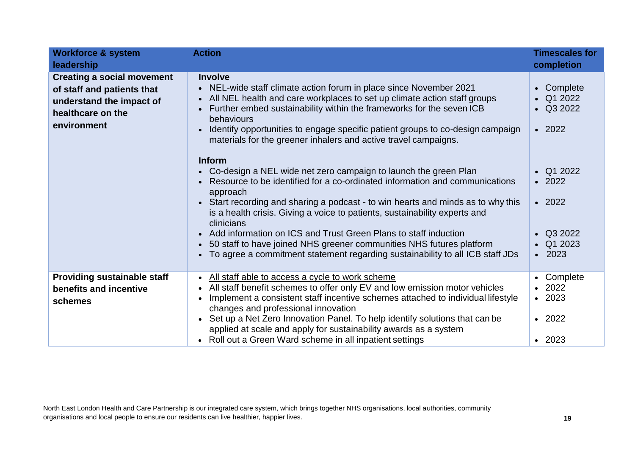| <b>Workforce &amp; system</b><br>leadership                                                                                     | <b>Action</b>                                                                                                                                                                                                                                                                                                                                                                                                                                                                                                                                                                                                                               | <b>Timescales for</b><br>completion                                                                               |
|---------------------------------------------------------------------------------------------------------------------------------|---------------------------------------------------------------------------------------------------------------------------------------------------------------------------------------------------------------------------------------------------------------------------------------------------------------------------------------------------------------------------------------------------------------------------------------------------------------------------------------------------------------------------------------------------------------------------------------------------------------------------------------------|-------------------------------------------------------------------------------------------------------------------|
| <b>Creating a social movement</b><br>of staff and patients that<br>understand the impact of<br>healthcare on the<br>environment | <b>Involve</b><br>NEL-wide staff climate action forum in place since November 2021<br>$\bullet$<br>All NEL health and care workplaces to set up climate action staff groups<br>$\bullet$<br>Further embed sustainability within the frameworks for the seven ICB<br>$\bullet$<br>behaviours<br>Identify opportunities to engage specific patient groups to co-design campaign<br>$\bullet$<br>materials for the greener inhalers and active travel campaigns.                                                                                                                                                                               | Complete<br>$\bullet$<br>Q1 2022<br>Q3 2022<br>$\bullet$<br>2022<br>$\bullet$                                     |
|                                                                                                                                 | <b>Inform</b><br>• Co-design a NEL wide net zero campaign to launch the green Plan<br>Resource to be identified for a co-ordinated information and communications<br>approach<br>Start recording and sharing a podcast - to win hearts and minds as to why this<br>$\bullet$<br>is a health crisis. Giving a voice to patients, sustainability experts and<br>clinicians<br>Add information on ICS and Trust Green Plans to staff induction<br>$\bullet$<br>50 staff to have joined NHS greener communities NHS futures platform<br>$\bullet$<br>To agree a commitment statement regarding sustainability to all ICB staff JDs<br>$\bullet$ | Q1 2022<br>$\bullet$<br>2022<br>$\bullet$<br>$\cdot$ 2022<br>Q3 2022<br>Q1 2023<br>$\bullet$<br>2023<br>$\bullet$ |
| <b>Providing sustainable staff</b><br>benefits and incentive<br>schemes                                                         | All staff able to access a cycle to work scheme<br>All staff benefit schemes to offer only EV and low emission motor vehicles<br>$\bullet$<br>Implement a consistent staff incentive schemes attached to individual lifestyle<br>$\bullet$<br>changes and professional innovation<br>Set up a Net Zero Innovation Panel. To help identify solutions that can be<br>$\bullet$<br>applied at scale and apply for sustainability awards as a system<br>Roll out a Green Ward scheme in all inpatient settings<br>$\bullet$                                                                                                                     | Complete<br>$\bullet$<br>2022<br>$\bullet$<br>$\cdot$ 2023<br>$\cdot$ 2022<br>$\cdot$ 2023                        |

North East London Health and Care Partnership is our integrated care system, which brings together NHS organisations, local authorities, community organisations and local people to ensure our residents can live healthier, happier lives.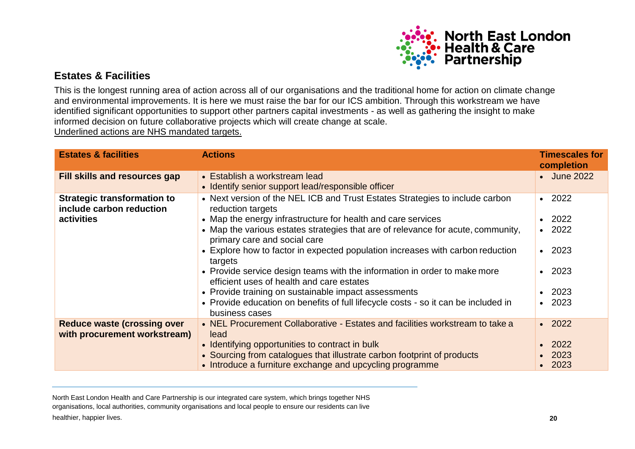

### <span id="page-19-0"></span>**Estates & Facilities**

This is the longest running area of action across all of our organisations and the traditional home for action on climate change and environmental improvements. It is here we must raise the bar for our ICS ambition. Through this workstream we have identified significant opportunities to support other partners capital investments - as well as gathering the insight to make informed decision on future collaborative projects which will create change at scale.

Underlined actions are NHS mandated targets.

| <b>Estates &amp; facilities</b>                                              | <b>Actions</b>                                                                                                                                                                                                                                                                                                                                                                                                                                                                                                                                                       | <b>Timescales for</b><br>completion                                                          |
|------------------------------------------------------------------------------|----------------------------------------------------------------------------------------------------------------------------------------------------------------------------------------------------------------------------------------------------------------------------------------------------------------------------------------------------------------------------------------------------------------------------------------------------------------------------------------------------------------------------------------------------------------------|----------------------------------------------------------------------------------------------|
| Fill skills and resources gap                                                | • Establish a workstream lead<br>• Identify senior support lead/responsible officer                                                                                                                                                                                                                                                                                                                                                                                                                                                                                  | • June 2022                                                                                  |
| <b>Strategic transformation to</b><br>include carbon reduction<br>activities | • Next version of the NEL ICB and Trust Estates Strategies to include carbon<br>reduction targets<br>• Map the energy infrastructure for health and care services<br>• Map the various estates strategies that are of relevance for acute, community,<br>primary care and social care<br>• Explore how to factor in expected population increases with carbon reduction<br>targets<br>• Provide service design teams with the information in order to make more<br>efficient uses of health and care estates<br>• Provide training on sustainable impact assessments | $\cdot$ 2022<br>$\cdot$ 2022<br>$\cdot$ 2022<br>$\cdot$ 2023<br>$\cdot$ 2023<br>$\cdot$ 2023 |
|                                                                              | • Provide education on benefits of full lifecycle costs - so it can be included in<br>business cases                                                                                                                                                                                                                                                                                                                                                                                                                                                                 | $\cdot$ 2023                                                                                 |
| <b>Reduce waste (crossing over</b><br>with procurement workstream)           | • NEL Procurement Collaborative - Estates and facilities workstream to take a<br>lead<br>• Identifying opportunities to contract in bulk<br>• Sourcing from catalogues that illustrate carbon footprint of products<br>• Introduce a furniture exchange and upcycling programme                                                                                                                                                                                                                                                                                      | $\cdot$ 2022<br>$\cdot$ 2022<br>2023<br>$\cdot$ 2023                                         |

healthier, happier lives. **20** North East London Health and Care Partnership is our integrated care system, which brings together NHS organisations, local authorities, community organisations and local people to ensure our residents can live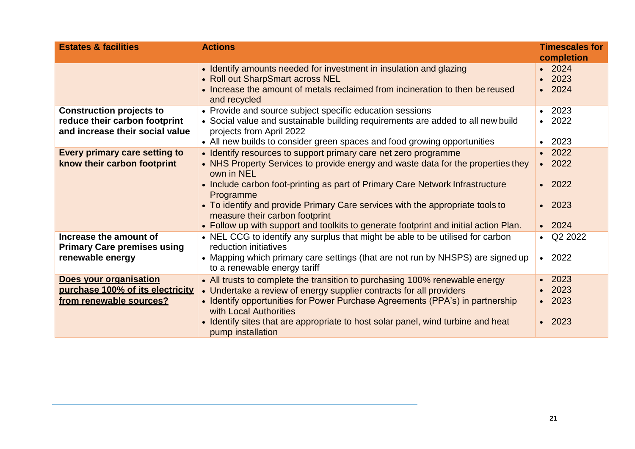| <b>Estates &amp; facilities</b>                                                                     | <b>Actions</b>                                                                                                                                                                                                                                                                                                                                                                                                                                                             | <b>Timescales for</b><br>completion                                          |
|-----------------------------------------------------------------------------------------------------|----------------------------------------------------------------------------------------------------------------------------------------------------------------------------------------------------------------------------------------------------------------------------------------------------------------------------------------------------------------------------------------------------------------------------------------------------------------------------|------------------------------------------------------------------------------|
|                                                                                                     | • Identify amounts needed for investment in insulation and glazing<br>• Roll out SharpSmart across NEL<br>• Increase the amount of metals reclaimed from incineration to then be reused<br>and recycled                                                                                                                                                                                                                                                                    | 2024<br>2023<br>$\cdot$ 2024                                                 |
| <b>Construction projects to</b><br>reduce their carbon footprint<br>and increase their social value | • Provide and source subject specific education sessions<br>• Social value and sustainable building requirements are added to all new build<br>projects from April 2022<br>• All new builds to consider green spaces and food growing opportunities                                                                                                                                                                                                                        | 2023<br>$\cdot$ 2022<br>2023                                                 |
| Every primary care setting to<br>know their carbon footprint                                        | • Identify resources to support primary care net zero programme<br>• NHS Property Services to provide energy and waste data for the properties they<br>own in NEL<br>• Include carbon foot-printing as part of Primary Care Network Infrastructure<br>Programme<br>• To identify and provide Primary Care services with the appropriate tools to<br>measure their carbon footprint<br>• Follow up with support and toolkits to generate footprint and initial action Plan. | $\cdot$ 2022<br>$\cdot$ 2022<br>$\cdot$ 2022<br>$\cdot$ 2023<br>$\cdot$ 2024 |
| Increase the amount of<br><b>Primary Care premises using</b><br>renewable energy                    | • NEL CCG to identify any surplus that might be able to be utilised for carbon<br>reduction initiatives<br>• Mapping which primary care settings (that are not run by NHSPS) are signed up<br>to a renewable energy tariff                                                                                                                                                                                                                                                 | $\bullet$ Q2 2022<br>$\cdot$ 2022                                            |
| Does your organisation<br>purchase 100% of its electricity<br>from renewable sources?               | • All trusts to complete the transition to purchasing 100% renewable energy<br>• Undertake a review of energy supplier contracts for all providers<br>• Identify opportunities for Power Purchase Agreements (PPA's) in partnership<br>with Local Authorities<br>• Identify sites that are appropriate to host solar panel, wind turbine and heat<br>pump installation                                                                                                     | 2023<br>2023<br>$\cdot$ 2023<br>$\cdot$ 2023                                 |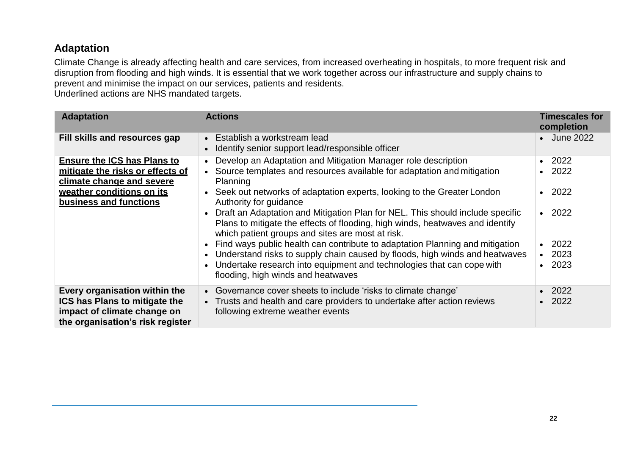### <span id="page-21-0"></span>**Adaptation**

Climate Change is already affecting health and care services, from increased overheating in hospitals, to more frequent risk and disruption from flooding and high winds. It is essential that we work together across our infrastructure and supply chains to prevent and minimise the impact on our services, patients and residents.

Underlined actions are NHS mandated targets.

| <b>Adaptation</b>                                                                                                                                          | <b>Actions</b>                                                                                                                                                                                                                                                                                                                                                                                                                                                                                                                                                                                                                                                                                                                                                                                     | <b>Timescales for</b><br>completion                                                                                                   |
|------------------------------------------------------------------------------------------------------------------------------------------------------------|----------------------------------------------------------------------------------------------------------------------------------------------------------------------------------------------------------------------------------------------------------------------------------------------------------------------------------------------------------------------------------------------------------------------------------------------------------------------------------------------------------------------------------------------------------------------------------------------------------------------------------------------------------------------------------------------------------------------------------------------------------------------------------------------------|---------------------------------------------------------------------------------------------------------------------------------------|
| Fill skills and resources gap                                                                                                                              | • Establish a workstream lead<br>Identify senior support lead/responsible officer<br>$\bullet$                                                                                                                                                                                                                                                                                                                                                                                                                                                                                                                                                                                                                                                                                                     | • June 2022                                                                                                                           |
| <b>Ensure the ICS has Plans to</b><br>mitigate the risks or effects of<br>climate change and severe<br>weather conditions on its<br>business and functions | Develop an Adaptation and Mitigation Manager role description<br>$\bullet$<br>Source templates and resources available for adaptation and mitigation<br>$\bullet$<br>Planning<br>Seek out networks of adaptation experts, looking to the Greater London<br>$\bullet$<br>Authority for guidance<br>Draft an Adaptation and Mitigation Plan for NEL. This should include specific<br>Plans to mitigate the effects of flooding, high winds, heatwaves and identify<br>which patient groups and sites are most at risk.<br>Find ways public health can contribute to adaptation Planning and mitigation<br>Understand risks to supply chain caused by floods, high winds and heatwaves<br>Undertake research into equipment and technologies that can cope with<br>flooding, high winds and heatwaves | 2022<br>$\bullet$<br>2022<br>$\bullet$<br>2022<br>$\bullet$<br>$\cdot$ 2022<br>2022<br>$\bullet$<br>$\cdot$ 2023<br>2023<br>$\bullet$ |
| Every organisation within the<br><b>ICS has Plans to mitigate the</b><br>impact of climate change on<br>the organisation's risk register                   | • Governance cover sheets to include 'risks to climate change'<br>• Trusts and health and care providers to undertake after action reviews<br>following extreme weather events                                                                                                                                                                                                                                                                                                                                                                                                                                                                                                                                                                                                                     | 2022<br>2022                                                                                                                          |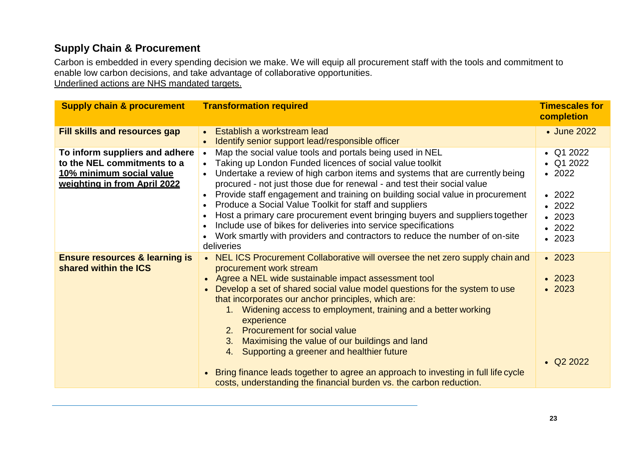# <span id="page-22-0"></span>**Supply Chain & Procurement**

Carbon is embedded in every spending decision we make. We will equip all procurement staff with the tools and commitment to enable low carbon decisions, and take advantage of collaborative opportunities.

Underlined actions are NHS mandated targets.

| <b>Supply chain &amp; procurement</b>                                                                                     | <b>Transformation required</b>                                                                                                                                                                                                                                                                                                                                                                                                                                                                                                                                                                                                                                                                                 | <b>Timescales for</b><br>completion                                                                                          |
|---------------------------------------------------------------------------------------------------------------------------|----------------------------------------------------------------------------------------------------------------------------------------------------------------------------------------------------------------------------------------------------------------------------------------------------------------------------------------------------------------------------------------------------------------------------------------------------------------------------------------------------------------------------------------------------------------------------------------------------------------------------------------------------------------------------------------------------------------|------------------------------------------------------------------------------------------------------------------------------|
| <b>Fill skills and resources gap</b>                                                                                      | Establish a workstream lead<br>$\bullet$<br>Identify senior support lead/responsible officer                                                                                                                                                                                                                                                                                                                                                                                                                                                                                                                                                                                                                   | • June 2022                                                                                                                  |
| To inform suppliers and adhere<br>to the NEL commitments to a<br>10% minimum social value<br>weighting in from April 2022 | Map the social value tools and portals being used in NEL<br>$\bullet$<br>Taking up London Funded licences of social value toolkit<br>Undertake a review of high carbon items and systems that are currently being<br>$\bullet$<br>procured - not just those due for renewal - and test their social value<br>Provide staff engagement and training on building social value in procurement<br>Produce a Social Value Toolkit for staff and suppliers<br>Host a primary care procurement event bringing buyers and suppliers together<br>Include use of bikes for deliveries into service specifications<br>Work smartly with providers and contractors to reduce the number of on-site<br>deliveries           | Q1 2022<br>$\bullet$ Q1 2022<br>$\cdot$ 2022<br>$\cdot$ 2022<br>$\cdot$ 2022<br>$\cdot$ 2023<br>$\cdot$ 2022<br>$\cdot$ 2023 |
| <b>Ensure resources &amp; learning is</b><br>shared within the ICS                                                        | NEL ICS Procurement Collaborative will oversee the net zero supply chain and<br>procurement work stream<br>Agree a NEL wide sustainable impact assessment tool<br>$\bullet$<br>Develop a set of shared social value model questions for the system to use<br>that incorporates our anchor principles, which are:<br>Widening access to employment, training and a better working<br>1.<br>experience<br>2. Procurement for social value<br>Maximising the value of our buildings and land<br>3.<br>Supporting a greener and healthier future<br>4.<br>Bring finance leads together to agree an approach to investing in full life cycle<br>costs, understanding the financial burden vs. the carbon reduction. | $\cdot$ 2023<br>$\cdot$ 2023<br>$\cdot$ 2023<br>$\textbf{Q}22022$                                                            |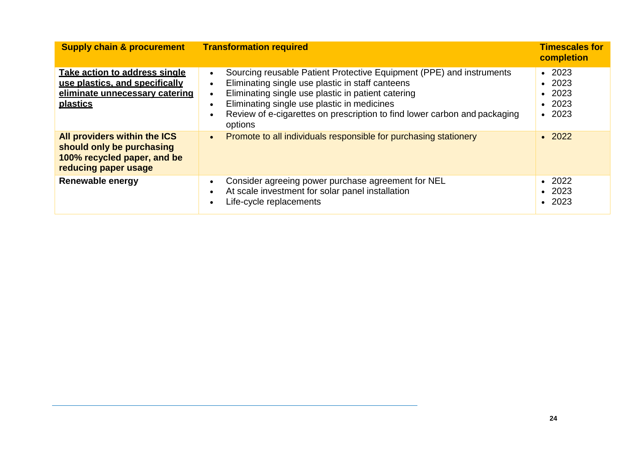| <b>Supply chain &amp; procurement</b>                                                                                | <b>Transformation required</b>                                                                                                                                                                                                                                                                                        | <b>Timescales for</b><br>completion                                               |
|----------------------------------------------------------------------------------------------------------------------|-----------------------------------------------------------------------------------------------------------------------------------------------------------------------------------------------------------------------------------------------------------------------------------------------------------------------|-----------------------------------------------------------------------------------|
| Take action to address single<br>use plastics, and specifically<br>eliminate unnecessary catering<br><b>plastics</b> | Sourcing reusable Patient Protective Equipment (PPE) and instruments<br>Eliminating single use plastic in staff canteens<br>Eliminating single use plastic in patient catering<br>Eliminating single use plastic in medicines<br>Review of e-cigarettes on prescription to find lower carbon and packaging<br>options | $\cdot$ 2023<br>$\cdot$ 2023<br>$\cdot$ 2023<br>$\cdot$ 2023<br>2023<br>$\bullet$ |
| All providers within the ICS<br>should only be purchasing<br>100% recycled paper, and be<br>reducing paper usage     | Promote to all individuals responsible for purchasing stationery<br>$\bullet$                                                                                                                                                                                                                                         | $\cdot$ 2022                                                                      |
| Renewable energy                                                                                                     | Consider agreeing power purchase agreement for NEL<br>At scale investment for solar panel installation<br>Life-cycle replacements                                                                                                                                                                                     | $\cdot$ 2022<br>$\cdot$ 2023<br>$\cdot$ 2023                                      |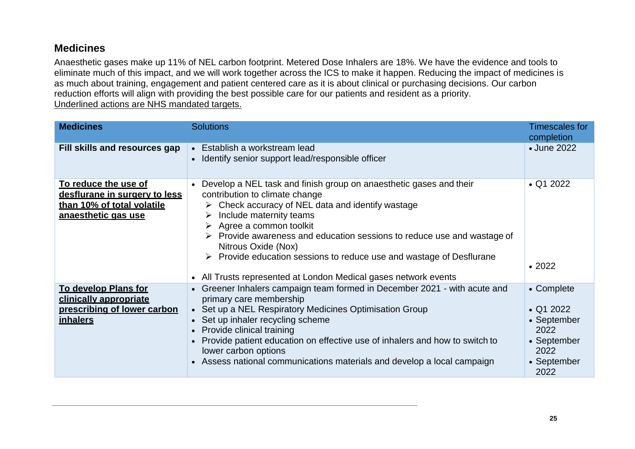### <span id="page-24-0"></span>**Medicines**

Anaesthetic gases make up 11% of NEL carbon footprint. Metered Dose Inhalers are 18%. We have the evidence and tools to eliminate much of this impact, and we will work together across the ICS to make it happen. Reducing the impact of medicines is as much about training, engagement and patient centered care as it is about clinical or purchasing decisions. Our carbon reduction efforts will align with providing the best possible care for our patients and resident as a priority. Underlined actions are NHS mandated targets.

| <b>Medicines</b>                                                                                           | <b>Solutions</b>                                                                                                                                                                                                                                                                                                                                                                                                                                                                                                               | <b>Timescales for</b><br>completion                                                                |
|------------------------------------------------------------------------------------------------------------|--------------------------------------------------------------------------------------------------------------------------------------------------------------------------------------------------------------------------------------------------------------------------------------------------------------------------------------------------------------------------------------------------------------------------------------------------------------------------------------------------------------------------------|----------------------------------------------------------------------------------------------------|
| Fill skills and resources gap                                                                              | • Establish a workstream lead<br>• Identify senior support lead/responsible officer                                                                                                                                                                                                                                                                                                                                                                                                                                            | • June 2022                                                                                        |
| To reduce the use of<br>desflurane in surgery to less<br>than 10% of total volatile<br>anaesthetic gas use | Develop a NEL task and finish group on anaesthetic gases and their<br>contribution to climate change<br>$\triangleright$ Check accuracy of NEL data and identify wastage<br>Include maternity teams<br>➤<br>$\triangleright$ Agree a common toolkit<br>$\triangleright$ Provide awareness and education sessions to reduce use and wastage of<br>Nitrous Oxide (Nox)<br>$\triangleright$ Provide education sessions to reduce use and wastage of Desflurane<br>• All Trusts represented at London Medical gases network events | $\bullet$ Q1 2022<br>$\cdot$ 2022                                                                  |
| To develop Plans for<br>clinically appropriate<br>prescribing of lower carbon<br><i>inhalers</i>           | Greener Inhalers campaign team formed in December 2021 - with acute and<br>primary care membership<br>• Set up a NEL Respiratory Medicines Optimisation Group<br>• Set up inhaler recycling scheme<br>• Provide clinical training<br>Provide patient education on effective use of inhalers and how to switch to<br>lower carbon options<br>Assess national communications materials and develop a local campaign                                                                                                              | • Complete<br>$\cdot$ Q1 2022<br>• September<br>2022<br>• September<br>2022<br>• September<br>2022 |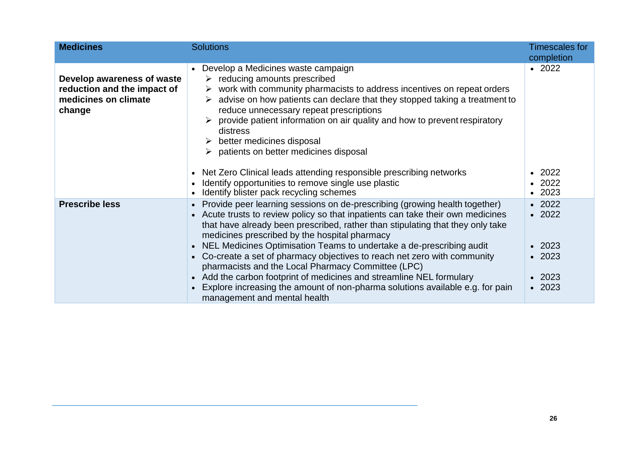| <b>Medicines</b>                                                                            | <b>Solutions</b>                                                                                                                                                                                                                                                                                                                                                                                                                                                                                                                                                                                                                                                                                              | <b>Timescales for</b><br>completion                                                          |
|---------------------------------------------------------------------------------------------|---------------------------------------------------------------------------------------------------------------------------------------------------------------------------------------------------------------------------------------------------------------------------------------------------------------------------------------------------------------------------------------------------------------------------------------------------------------------------------------------------------------------------------------------------------------------------------------------------------------------------------------------------------------------------------------------------------------|----------------------------------------------------------------------------------------------|
| Develop awareness of waste<br>reduction and the impact of<br>medicines on climate<br>change | Develop a Medicines waste campaign<br>$\triangleright$ reducing amounts prescribed<br>$\triangleright$ work with community pharmacists to address incentives on repeat orders<br>advise on how patients can declare that they stopped taking a treatment to<br>reduce unnecessary repeat prescriptions<br>provide patient information on air quality and how to prevent respiratory<br>distress<br>$\triangleright$ better medicines disposal<br>$\triangleright$ patients on better medicines disposal<br>Net Zero Clinical leads attending responsible prescribing networks<br>$\bullet$<br>Identify opportunities to remove single use plastic                                                             | $\cdot$ 2022<br>2022<br>$\cdot$ 2022                                                         |
|                                                                                             | Identify blister pack recycling schemes                                                                                                                                                                                                                                                                                                                                                                                                                                                                                                                                                                                                                                                                       | $\cdot$ 2023                                                                                 |
| <b>Prescribe less</b>                                                                       | Provide peer learning sessions on de-prescribing (growing health together)<br>• Acute trusts to review policy so that inpatients can take their own medicines<br>that have already been prescribed, rather than stipulating that they only take<br>medicines prescribed by the hospital pharmacy<br>NEL Medicines Optimisation Teams to undertake a de-prescribing audit<br>Co-create a set of pharmacy objectives to reach net zero with community<br>$\bullet$<br>pharmacists and the Local Pharmacy Committee (LPC)<br>Add the carbon footprint of medicines and streamline NEL formulary<br>Explore increasing the amount of non-pharma solutions available e.g. for pain<br>management and mental health | $\cdot$ 2022<br>$\cdot$ 2022<br>$\cdot$ 2023<br>$\cdot$ 2023<br>$\cdot$ 2023<br>$\cdot$ 2023 |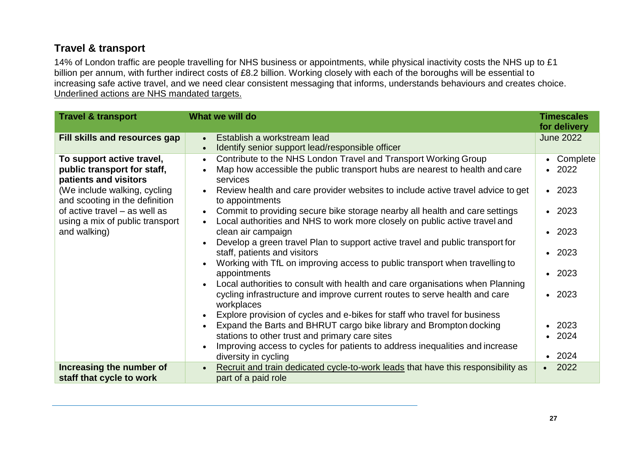# <span id="page-26-0"></span>**Travel & transport**

14% of London traffic are people travelling for NHS business or appointments, while physical inactivity costs the NHS up to £1 billion per annum, with further indirect costs of £8.2 billion. Working closely with each of the boroughs will be essential to increasing safe active travel, and we need clear consistent messaging that informs, understands behaviours and creates choice. Underlined actions are NHS mandated targets.

| <b>Travel &amp; transport</b>                                                                                                                                                                                                           | What we will do                                                                                                                                                                                                                                                                                                                                                                                                                                                                                                                                                                                                                                                                                                                                                                                                                                                                                                                                                                                                                                                                                                                                                                                                                                                                                              | <b>Timescales</b><br>for delivery                                                                                                                                          |
|-----------------------------------------------------------------------------------------------------------------------------------------------------------------------------------------------------------------------------------------|--------------------------------------------------------------------------------------------------------------------------------------------------------------------------------------------------------------------------------------------------------------------------------------------------------------------------------------------------------------------------------------------------------------------------------------------------------------------------------------------------------------------------------------------------------------------------------------------------------------------------------------------------------------------------------------------------------------------------------------------------------------------------------------------------------------------------------------------------------------------------------------------------------------------------------------------------------------------------------------------------------------------------------------------------------------------------------------------------------------------------------------------------------------------------------------------------------------------------------------------------------------------------------------------------------------|----------------------------------------------------------------------------------------------------------------------------------------------------------------------------|
| <b>Fill skills and resources gap</b>                                                                                                                                                                                                    | Establish a workstream lead<br>$\bullet$<br>Identify senior support lead/responsible officer<br>$\bullet$                                                                                                                                                                                                                                                                                                                                                                                                                                                                                                                                                                                                                                                                                                                                                                                                                                                                                                                                                                                                                                                                                                                                                                                                    | <b>June 2022</b>                                                                                                                                                           |
| To support active travel,<br>public transport for staff,<br>patients and visitors<br>(We include walking, cycling<br>and scooting in the definition<br>of active travel – as well as<br>using a mix of public transport<br>and walking) | Contribute to the NHS London Travel and Transport Working Group<br>$\bullet$<br>Map how accessible the public transport hubs are nearest to health and care<br>$\bullet$<br>services<br>Review health and care provider websites to include active travel advice to get<br>$\bullet$<br>to appointments<br>Commit to providing secure bike storage nearby all health and care settings<br>$\bullet$<br>Local authorities and NHS to work more closely on public active travel and<br>$\bullet$<br>clean air campaign<br>Develop a green travel Plan to support active travel and public transport for<br>$\bullet$<br>staff, patients and visitors<br>Working with TfL on improving access to public transport when travelling to<br>$\bullet$<br>appointments<br>Local authorities to consult with health and care organisations when Planning<br>$\bullet$<br>cycling infrastructure and improve current routes to serve health and care<br>workplaces<br>Explore provision of cycles and e-bikes for staff who travel for business<br>$\bullet$<br>Expand the Barts and BHRUT cargo bike library and Brompton docking<br>$\bullet$<br>stations to other trust and primary care sites<br>Improving access to cycles for patients to address inequalities and increase<br>$\bullet$<br>diversity in cycling | • Complete<br>$\cdot$ 2022<br>$\cdot$ 2023<br>$\cdot$ 2023<br>$\cdot$ 2023<br>$\cdot$ 2023<br>$\cdot$ 2023<br>$\cdot$ 2023<br>$\cdot$ 2023<br>$\cdot$ 2024<br>$\cdot$ 2024 |
| Increasing the number of<br>staff that cycle to work                                                                                                                                                                                    | Recruit and train dedicated cycle-to-work leads that have this responsibility as<br>$\bullet$<br>part of a paid role                                                                                                                                                                                                                                                                                                                                                                                                                                                                                                                                                                                                                                                                                                                                                                                                                                                                                                                                                                                                                                                                                                                                                                                         | 2022<br>$\bullet$                                                                                                                                                          |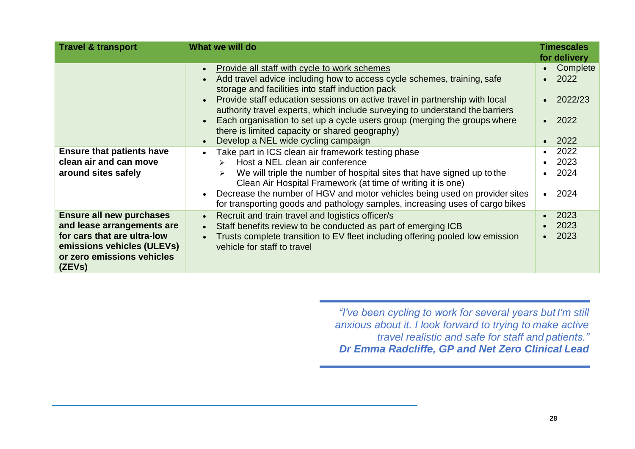| <b>Travel &amp; transport</b>                                                                                                                                      | What we will do                                                                                                                                                                                                                                                                                                                                                                                                                                                                                                                                                      | <b>Timescales</b><br>for delivery                                                  |
|--------------------------------------------------------------------------------------------------------------------------------------------------------------------|----------------------------------------------------------------------------------------------------------------------------------------------------------------------------------------------------------------------------------------------------------------------------------------------------------------------------------------------------------------------------------------------------------------------------------------------------------------------------------------------------------------------------------------------------------------------|------------------------------------------------------------------------------------|
|                                                                                                                                                                    | Provide all staff with cycle to work schemes<br>$\bullet$<br>Add travel advice including how to access cycle schemes, training, safe<br>$\bullet$<br>storage and facilities into staff induction pack<br>Provide staff education sessions on active travel in partnership with local<br>authority travel experts, which include surveying to understand the barriers<br>Each organisation to set up a cycle users group (merging the groups where<br>$\bullet$<br>there is limited capacity or shared geography)<br>Develop a NEL wide cycling campaign<br>$\bullet$ | Complete<br>$\bullet$<br>2022<br>$\bullet$<br>2022/23<br>2022<br>$\bullet$<br>2022 |
| <b>Ensure that patients have</b><br>clean air and can move<br>around sites safely                                                                                  | Take part in ICS clean air framework testing phase<br>$\bullet$<br>Host a NEL clean air conference<br>$\blacktriangleright$<br>We will triple the number of hospital sites that have signed up to the<br>Clean Air Hospital Framework (at time of writing it is one)<br>Decrease the number of HGV and motor vehicles being used on provider sites<br>$\bullet$<br>for transporting goods and pathology samples, increasing uses of cargo bikes                                                                                                                      | 2022<br>$\bullet$<br>2023<br>2024<br>2024<br>$\bullet$                             |
| <b>Ensure all new purchases</b><br>and lease arrangements are<br>for cars that are ultra-low<br>emissions vehicles (ULEVs)<br>or zero emissions vehicles<br>(ZEVs) | Recruit and train travel and logistics officer/s<br>$\bullet$<br>Staff benefits review to be conducted as part of emerging ICB<br>$\bullet$<br>Trusts complete transition to EV fleet including offering pooled low emission<br>vehicle for staff to travel                                                                                                                                                                                                                                                                                                          | 2023<br>2023<br>2023                                                               |

*"I've been cycling to work for several years but I'm still anxious about it. I look forward to trying to make active travel realistic and safe for staff and patients." Dr Emma Radcliffe, GP and Net Zero Clinical Lead*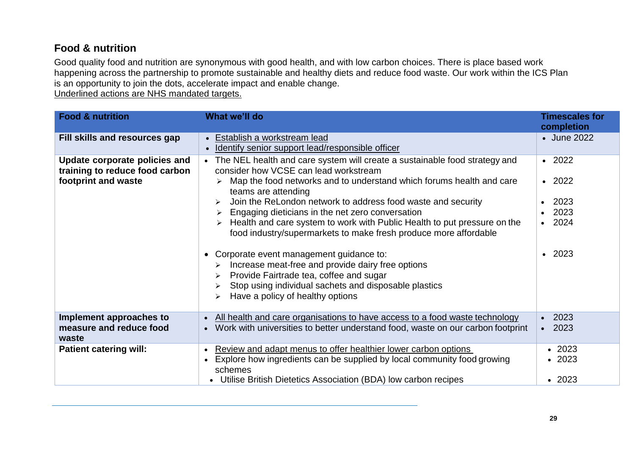# <span id="page-28-0"></span>**Food & nutrition**

Good quality food and nutrition are synonymous with good health, and with low carbon choices. There is place based work happening across the partnership to promote sustainable and healthy diets and reduce food waste. Our work within the ICS Plan is an opportunity to join the dots, accelerate impact and enable change.

Underlined actions are NHS mandated targets.

| <b>Food &amp; nutrition</b>                                                            | What we'll do                                                                                                                                                                                                                                                                                                                                                                                                                                                                                                                              | <b>Timescales for</b><br>completion                                          |
|----------------------------------------------------------------------------------------|--------------------------------------------------------------------------------------------------------------------------------------------------------------------------------------------------------------------------------------------------------------------------------------------------------------------------------------------------------------------------------------------------------------------------------------------------------------------------------------------------------------------------------------------|------------------------------------------------------------------------------|
| Fill skills and resources gap                                                          | • Establish a workstream lead<br>Identify senior support lead/responsible officer                                                                                                                                                                                                                                                                                                                                                                                                                                                          | • June 2022                                                                  |
| Update corporate policies and<br>training to reduce food carbon<br>footprint and waste | The NEL health and care system will create a sustainable food strategy and<br>$\bullet$<br>consider how VCSE can lead workstream<br>$\triangleright$ Map the food networks and to understand which forums health and care<br>teams are attending<br>Join the ReLondon network to address food waste and security<br>Engaging dieticians in the net zero conversation<br>➤<br>$\triangleright$ Health and care system to work with Public Health to put pressure on the<br>food industry/supermarkets to make fresh produce more affordable | $\cdot$ 2022<br>$\cdot$ 2022<br>2023<br>2023<br>$\cdot$ 2024<br>$\cdot$ 2023 |
|                                                                                        | Corporate event management guidance to:<br>$\bullet$<br>Increase meat-free and provide dairy free options<br>➤<br>Provide Fairtrade tea, coffee and sugar<br>➤<br>Stop using individual sachets and disposable plastics<br>➤<br>Have a policy of healthy options<br>$\blacktriangleright$                                                                                                                                                                                                                                                  |                                                                              |
| Implement approaches to<br>measure and reduce food<br>waste                            | All health and care organisations to have access to a food waste technology<br>$\bullet$<br>Work with universities to better understand food, waste on our carbon footprint                                                                                                                                                                                                                                                                                                                                                                | $\cdot$ 2023<br>$\cdot$ 2023                                                 |
| <b>Patient catering will:</b>                                                          | Review and adapt menus to offer healthier lower carbon options<br>$\bullet$<br>Explore how ingredients can be supplied by local community food growing<br>schemes<br>• Utilise British Dietetics Association (BDA) low carbon recipes                                                                                                                                                                                                                                                                                                      | $\cdot$ 2023<br>2023<br>$\bullet$<br>$\cdot$ 2023                            |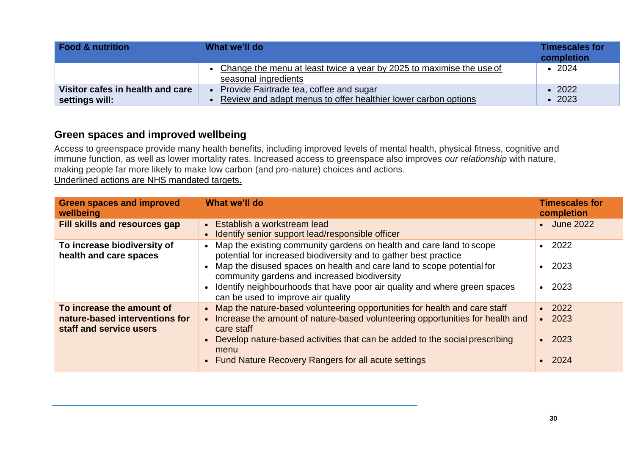| <b>Food &amp; nutrition</b>                        | What we'll do                                                                                             | <b>Timescales for</b><br>completion |
|----------------------------------------------------|-----------------------------------------------------------------------------------------------------------|-------------------------------------|
|                                                    | Change the menu at least twice a year by 2025 to maximise the use of<br>seasonal ingredients              | $\cdot$ 2024                        |
| Visitor cafes in health and care<br>settings will: | Provide Fairtrade tea, coffee and sugar<br>Review and adapt menus to offer healthier lower carbon options | $\cdot$ 2022<br>$\cdot$ 2023        |

### <span id="page-29-0"></span>**Green spaces and improved wellbeing**

Access to greenspace provide many health benefits, including improved levels of mental health, physical fitness, cognitive and immune function, as well as lower mortality rates. Increased access to greenspace also improves *our relationship* with nature, making people far more likely to make low carbon (and pro-nature) choices and actions. Underlined actions are NHS mandated targets.

| <b>Green spaces and improved</b><br>wellbeing                                          | What we'll do                                                                                                                                                                                                                                                                                                                                                                             | <b>Timescales for</b><br>completion                          |
|----------------------------------------------------------------------------------------|-------------------------------------------------------------------------------------------------------------------------------------------------------------------------------------------------------------------------------------------------------------------------------------------------------------------------------------------------------------------------------------------|--------------------------------------------------------------|
| Fill skills and resources gap                                                          | • Establish a workstream lead<br>• Identify senior support lead/responsible officer                                                                                                                                                                                                                                                                                                       | • June 2022                                                  |
| To increase biodiversity of<br>health and care spaces                                  | • Map the existing community gardens on health and care land to scope<br>potential for increased biodiversity and to gather best practice<br>• Map the disused spaces on health and care land to scope potential for<br>community gardens and increased biodiversity<br>• Identify neighbourhoods that have poor air quality and where green spaces<br>can be used to improve air quality | $\cdot$ 2022<br>$\cdot$ 2023<br>2023                         |
| To increase the amount of<br>nature-based interventions for<br>staff and service users | • Map the nature-based volunteering opportunities for health and care staff<br>• Increase the amount of nature-based volunteering opportunities for health and<br>care staff<br>• Develop nature-based activities that can be added to the social prescribing<br>menu<br>• Fund Nature Recovery Rangers for all acute settings                                                            | $\cdot$ 2022<br>$\cdot$ 2023<br>$\cdot$ 2023<br>$\cdot$ 2024 |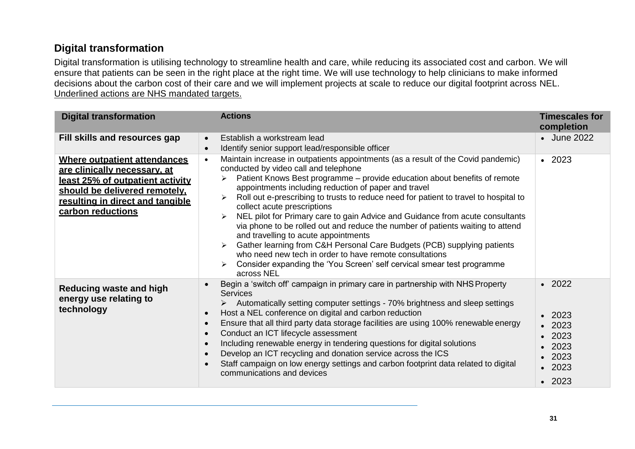## <span id="page-30-0"></span>**Digital transformation**

Digital transformation is utilising technology to streamline health and care, while reducing its associated cost and carbon. We will ensure that patients can be seen in the right place at the right time. We will use technology to help clinicians to make informed decisions about the carbon cost of their care and we will implement projects at scale to reduce our digital footprint across NEL. Underlined actions are NHS mandated targets.

| <b>Digital transformation</b>                                                                                                                                                                     | <b>Actions</b>                                                                                                                                                                                                                                                                                                                                                                                                                                                                                                                                                                                                                                                                                                                                                                                                                                    | <b>Timescales for</b><br>completion                                                                                  |
|---------------------------------------------------------------------------------------------------------------------------------------------------------------------------------------------------|---------------------------------------------------------------------------------------------------------------------------------------------------------------------------------------------------------------------------------------------------------------------------------------------------------------------------------------------------------------------------------------------------------------------------------------------------------------------------------------------------------------------------------------------------------------------------------------------------------------------------------------------------------------------------------------------------------------------------------------------------------------------------------------------------------------------------------------------------|----------------------------------------------------------------------------------------------------------------------|
| Fill skills and resources gap                                                                                                                                                                     | Establish a workstream lead<br>$\bullet$<br>Identify senior support lead/responsible officer<br>$\bullet$                                                                                                                                                                                                                                                                                                                                                                                                                                                                                                                                                                                                                                                                                                                                         | • June 2022                                                                                                          |
| Where outpatient attendances<br>are clinically necessary, at<br><u>least 25% of outpatient activity</u><br>should be delivered remotely,<br>resulting in direct and tangible<br>carbon reductions | Maintain increase in outpatients appointments (as a result of the Covid pandemic)<br>$\bullet$<br>conducted by video call and telephone<br>Patient Knows Best programme – provide education about benefits of remote<br>appointments including reduction of paper and travel<br>Roll out e-prescribing to trusts to reduce need for patient to travel to hospital to<br>➤<br>collect acute prescriptions<br>NEL pilot for Primary care to gain Advice and Guidance from acute consultants<br>via phone to be rolled out and reduce the number of patients waiting to attend<br>and travelling to acute appointments<br>Gather learning from C&H Personal Care Budgets (PCB) supplying patients<br>who need new tech in order to have remote consultations<br>Consider expanding the 'You Screen' self cervical smear test programme<br>across NEL | $\cdot$ 2023                                                                                                         |
| <b>Reducing waste and high</b><br>energy use relating to<br>technology                                                                                                                            | Begin a 'switch off' campaign in primary care in partnership with NHS Property<br>$\bullet$<br><b>Services</b><br>Automatically setting computer settings - 70% brightness and sleep settings<br>Host a NEL conference on digital and carbon reduction<br>$\bullet$<br>Ensure that all third party data storage facilities are using 100% renewable energy<br>$\bullet$<br>Conduct an ICT lifecycle assessment<br>$\bullet$<br>Including renewable energy in tendering questions for digital solutions<br>$\bullet$<br>Develop an ICT recycling and donation service across the ICS<br>$\bullet$<br>Staff campaign on low energy settings and carbon footprint data related to digital<br>communications and devices                                                                                                                              | $\cdot$ 2022<br>$\cdot$ 2023<br>$\cdot$ 2023<br>$\cdot$ 2023<br>2023<br>$\cdot$ 2023<br>$\cdot$ 2023<br>$\cdot$ 2023 |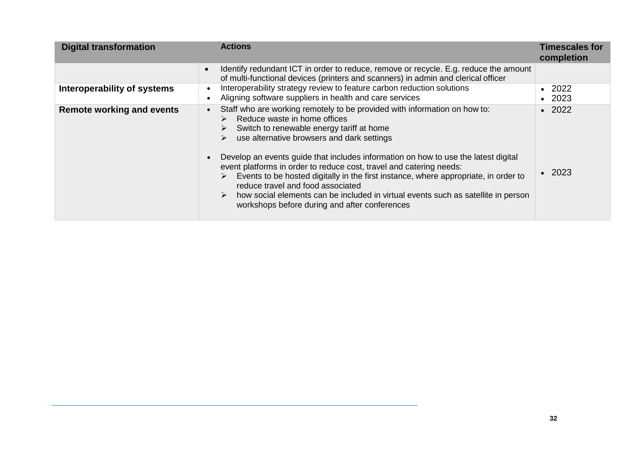| <b>Digital transformation</b>    | <b>Actions</b>                                                                                                                                                                                                                                                                                                                                                                                                                                                                                                                                                                                                                                                     | <b>Timescales for</b><br>completion    |
|----------------------------------|--------------------------------------------------------------------------------------------------------------------------------------------------------------------------------------------------------------------------------------------------------------------------------------------------------------------------------------------------------------------------------------------------------------------------------------------------------------------------------------------------------------------------------------------------------------------------------------------------------------------------------------------------------------------|----------------------------------------|
|                                  | Identify redundant ICT in order to reduce, remove or recycle. E.g. reduce the amount<br>$\bullet$<br>of multi-functional devices (printers and scanners) in admin and clerical officer                                                                                                                                                                                                                                                                                                                                                                                                                                                                             |                                        |
| Interoperability of systems      | Interoperability strategy review to feature carbon reduction solutions<br>$\bullet$<br>Aligning software suppliers in health and care services<br>$\bullet$                                                                                                                                                                                                                                                                                                                                                                                                                                                                                                        | 2022<br>$\bullet$<br>2023<br>$\bullet$ |
| <b>Remote working and events</b> | Staff who are working remotely to be provided with information on how to:<br>$\bullet$<br>Reduce waste in home offices<br>Switch to renewable energy tariff at home<br>use alternative browsers and dark settings<br>➤<br>Develop an events guide that includes information on how to use the latest digital<br>$\bullet$<br>event platforms in order to reduce cost, travel and catering needs:<br>Events to be hosted digitally in the first instance, where appropriate, in order to<br>reduce travel and food associated<br>how social elements can be included in virtual events such as satellite in person<br>workshops before during and after conferences | $\cdot$ 2022<br>-2023                  |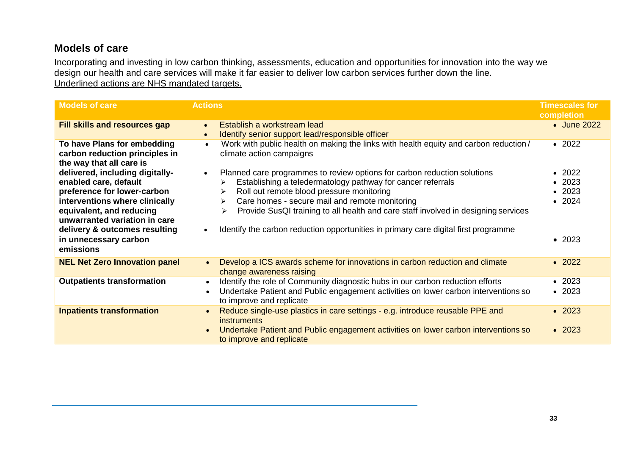### <span id="page-32-0"></span>**Models of care**

Incorporating and investing in low carbon thinking, assessments, education and opportunities for innovation into the way we design our health and care services will make it far easier to deliver low carbon services further down the line. Underlined actions are NHS mandated targets.

| <b>Models of care</b>                                                                                                            | <b>Actions</b>                                                                                                                                                                 | <b>Timescales for</b><br>completion |
|----------------------------------------------------------------------------------------------------------------------------------|--------------------------------------------------------------------------------------------------------------------------------------------------------------------------------|-------------------------------------|
| <b>Fill skills and resources gap</b>                                                                                             | Establish a workstream lead<br>$\bullet$<br>Identify senior support lead/responsible officer<br>$\bullet$                                                                      | • June 2022                         |
| To have Plans for embedding<br>carbon reduction principles in<br>the way that all care is                                        | Work with public health on making the links with health equity and carbon reduction/<br>$\bullet$<br>climate action campaigns                                                  | $\cdot$ 2022                        |
| delivered, including digitally-                                                                                                  | Planned care programmes to review options for carbon reduction solutions<br>$\bullet$                                                                                          | $\cdot$ 2022                        |
| enabled care, default                                                                                                            | Establishing a teledermatology pathway for cancer referrals                                                                                                                    | $\cdot$ 2023                        |
| preference for lower-carbon                                                                                                      | Roll out remote blood pressure monitoring<br>➤                                                                                                                                 | $\cdot$ 2023                        |
| interventions where clinically                                                                                                   | Care homes - secure mail and remote monitoring<br>≻                                                                                                                            | • 2024                              |
| equivalent, and reducing<br>unwarranted variation in care<br>delivery & outcomes resulting<br>in unnecessary carbon<br>emissions | Provide SusQI training to all health and care staff involved in designing services<br>➤<br>Identify the carbon reduction opportunities in primary care digital first programme | $\bullet$ 2023                      |
| <b>NEL Net Zero Innovation panel</b>                                                                                             | Develop a ICS awards scheme for innovations in carbon reduction and climate<br>$\bullet$<br>change awareness raising                                                           | $\cdot$ 2022                        |
| <b>Outpatients transformation</b>                                                                                                | Identify the role of Community diagnostic hubs in our carbon reduction efforts<br>$\bullet$                                                                                    | $\cdot$ 2023                        |
|                                                                                                                                  | Undertake Patient and Public engagement activities on lower carbon interventions so<br>$\bullet$<br>to improve and replicate                                                   | $\cdot$ 2023                        |
| <b>Inpatients transformation</b>                                                                                                 | Reduce single-use plastics in care settings - e.g. introduce reusable PPE and<br>$\bullet$<br><i>instruments</i>                                                               | $\cdot$ 2023                        |
|                                                                                                                                  | Undertake Patient and Public engagement activities on lower carbon interventions so<br>$\bullet$<br>to improve and replicate                                                   | $\cdot$ 2023                        |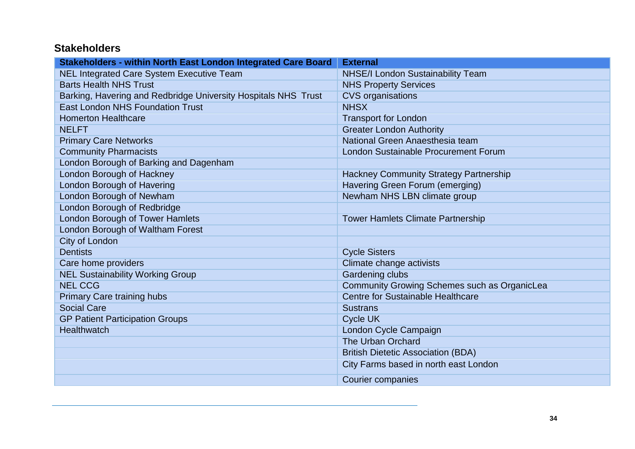# <span id="page-33-0"></span>**Stakeholders**

| Stakeholders - within North East London Integrated Care Board  | <b>External</b>                               |
|----------------------------------------------------------------|-----------------------------------------------|
| <b>NEL Integrated Care System Executive Team</b>               | <b>NHSE/I London Sustainability Team</b>      |
| <b>Barts Health NHS Trust</b>                                  | <b>NHS Property Services</b>                  |
| Barking, Havering and Redbridge University Hospitals NHS Trust | <b>CVS</b> organisations                      |
| <b>East London NHS Foundation Trust</b>                        | <b>NHSX</b>                                   |
| <b>Homerton Healthcare</b>                                     | <b>Transport for London</b>                   |
| <b>NELFT</b>                                                   | <b>Greater London Authority</b>               |
| <b>Primary Care Networks</b>                                   | National Green Anaesthesia team               |
| <b>Community Pharmacists</b>                                   | <b>London Sustainable Procurement Forum</b>   |
| London Borough of Barking and Dagenham                         |                                               |
| <b>London Borough of Hackney</b>                               | <b>Hackney Community Strategy Partnership</b> |
| <b>London Borough of Havering</b>                              | Havering Green Forum (emerging)               |
| London Borough of Newham                                       | Newham NHS LBN climate group                  |
| London Borough of Redbridge                                    |                                               |
| London Borough of Tower Hamlets                                | <b>Tower Hamlets Climate Partnership</b>      |
| London Borough of Waltham Forest                               |                                               |
| City of London                                                 |                                               |
| <b>Dentists</b>                                                | <b>Cycle Sisters</b>                          |
| Care home providers                                            | Climate change activists                      |
| <b>NEL Sustainability Working Group</b>                        | Gardening clubs                               |
| <b>NEL CCG</b>                                                 | Community Growing Schemes such as OrganicLea  |
| Primary Care training hubs                                     | <b>Centre for Sustainable Healthcare</b>      |
| <b>Social Care</b>                                             | <b>Sustrans</b>                               |
| <b>GP Patient Participation Groups</b>                         | Cycle UK                                      |
| <b>Healthwatch</b>                                             | London Cycle Campaign                         |
|                                                                | The Urban Orchard                             |
|                                                                | <b>British Dietetic Association (BDA)</b>     |
|                                                                | City Farms based in north east London         |
|                                                                | <b>Courier companies</b>                      |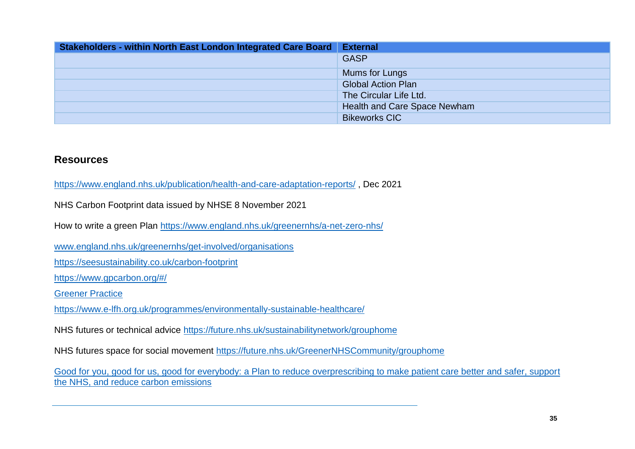| Stakeholders - within North East London Integrated Care Board | <b>External</b>              |
|---------------------------------------------------------------|------------------------------|
|                                                               | <b>GASP</b>                  |
|                                                               | Mums for Lungs               |
|                                                               | <b>Global Action Plan</b>    |
|                                                               | The Circular Life Ltd.       |
|                                                               | Health and Care Space Newham |
|                                                               | <b>Bikeworks CIC</b>         |

#### <span id="page-34-0"></span>**Resources**

<https://www.england.nhs.uk/publication/health-and-care-adaptation-reports/> , Dec 2021

NHS Carbon Footprint data issued by NHSE 8 November 2021

How to write a green Plan<https://www.england.nhs.uk/greenernhs/a-net-zero-nhs/>

[www.england.nhs.uk/greenernhs/get-involved/organisations](http://www.england.nhs.uk/greenernhs/get-involved/organisations)

<https://seesustainability.co.uk/carbon-footprint>

[https://www.gpcarbon.org/#/](https://www.gpcarbon.org/%23/)

[Greener Practice](https://www.greenerpractice.co.uk/)

<https://www.e-lfh.org.uk/programmes/environmentally-sustainable-healthcare/>

NHS futures or technical advice<https://future.nhs.uk/sustainabilitynetwork/grouphome>

NHS futures space for social movement<https://future.nhs.uk/GreenerNHSCommunity/grouphome>

[Good for you, good for us, good for everybody: a Plan to reduce overprescribing to make patient care better and safer, support](https://www.gov.uk/government/publications/national-overprescribing-review-report) [the NHS, and reduce carbon emissions](https://www.gov.uk/government/publications/national-overprescribing-review-report)